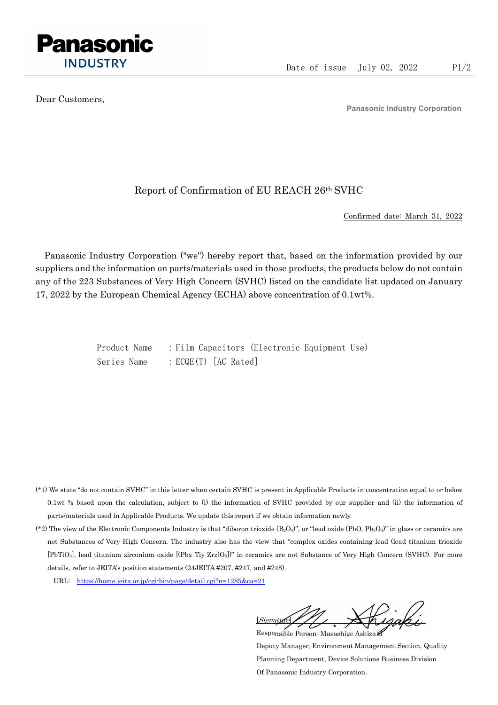

Dear Customers,

Panasonic Industry Corporation

## Report of Confirmation of EU REACH 26th SVHC

Confirmed date: March 31, 2022

Panasonic Industry Corporation ("we") hereby report that, based on the information provided by our suppliers and the information on parts/materials used in those products, the products below do not contain any of the 223 Substances of Very High Concern (SVHC) listed on the candidate list updated on January 17, 2022 by the European Chemical Agency (ECHA) above concentration of 0.1wt%.

> Product Name : Film Capacitors (Electronic Equipment Use) Series Name : ECQE(T) [AC Rated]

- (\*1) We state "do not contain SVHC" in this letter when certain SVHC is present in Applicable Products in concentration equal to or below 0.1wt % based upon the calculation, subject to (i) the information of SVHC provided by our supplier and (ii) the information of parts/materials used in Applicable Products. We update this report if we obtain information newly.
- (\*2) The view of the Electronic Components Industry is that "diboron trioxide  $(B_2O_3)$ ", or "lead oxide (PbO, Pb<sub>3</sub>O<sub>4</sub>)" in glass or ceramics are not Substances of Very High Concern. The industry also has the view that "complex oxides containing lead (lead titanium trioxide [PbTiO3], lead titanium zirconium oxide [(Pbx Tiy Zrz)O3])" in ceramics are not Substance of Very High Concern (SVHC). For more details, refer to JEITA's position statements (24JEITA #207, #247, and #248).
	- URL: https://home.jeita.or.jp/cgi-bin/page/detail.cgi?n=1285&ca=21

[Signature] Responsible Person: Masashige Ashizaki

Deputy Manager, Environment Management Section, Quality Planning Department, Device Solutions Business Division Of Panasonic Industry Corporation.